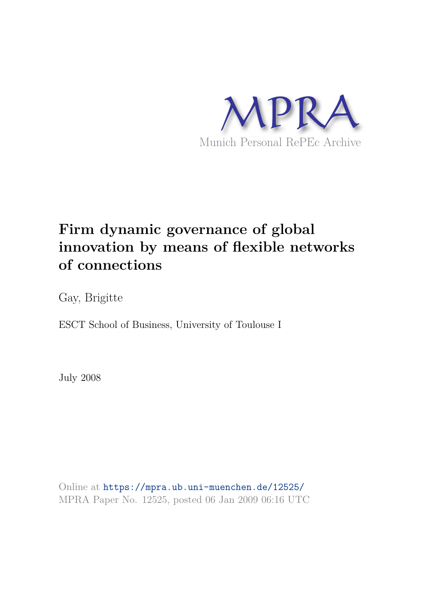

# **Firm dynamic governance of global innovation by means of flexible networks of connections**

Gay, Brigitte

ESCT School of Business, University of Toulouse I

July 2008

Online at https://mpra.ub.uni-muenchen.de/12525/ MPRA Paper No. 12525, posted 06 Jan 2009 06:16 UTC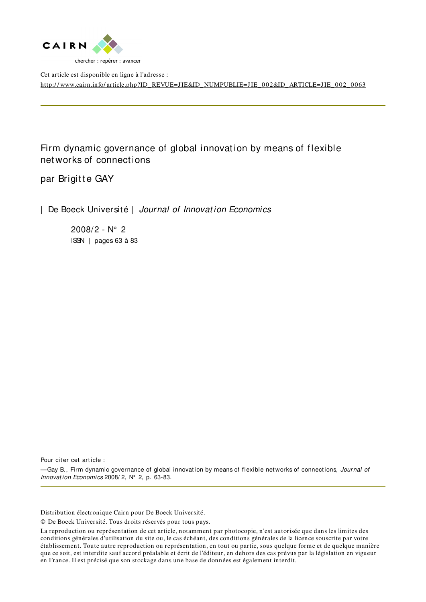

Cet article est disponible en ligne à l'adresse : http://www.cairn.info/article.php?ID\_REVUE=JIE&ID\_NUMPUBLIE=JIE\_002&ID\_ARTICLE=JIE\_002\_0063

Firm dynamic governance of global innovation by means of flexible net works of connect ions

par Brigitte GAY

| De Boeck Université | Journal of Innovation Economics

2008/2 - N° 2 ISSN | pages 63 à 83

Pour citer cet article :

-Gay B., Firm dynamic governance of global innovation by means of flexible networks of connections, Journal of Innovation Economics 2008/2, N° 2, p. 63-83.

Distribution électronique Cairn pour De Boeck Université.

© De Boeck Université. Tous droits réservés pour tous pays.

La reproduction ou représentation de cet article, notamment par photocopie, n'est autorisée que dans les limites des conditions générales d'utilisation du site ou, le cas échéant, des conditions générales de la licence souscrite par votre établissement. Toute autre reproduction ou représentation, en tout ou partie, sous quelque forme et de quelque manière que ce soit, est interdite sauf accord préalable et écrit de l'éditeur, en dehors des cas prévus par la législation en vigueur en France. Il est précisé que son stockage dans une base de données est également interdit.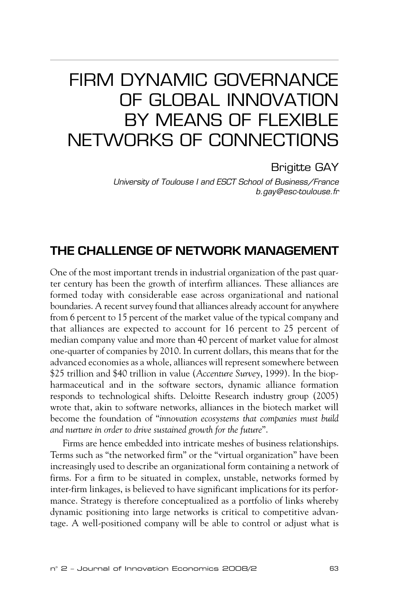## FIRM DYNAMIC GOVERNANCE OF GLOBAL INNOVATION BY MEANS OF FLEXIBLE NETWORKS OF CONNECTIONS

Brigitte GAY

*University of Toulouse I and ESCT School of Business/France b.gay@esc-toulouse.fr*

## **THE CHALLENGE OF NETWORK MANAGEMENT**

One of the most important trends in industrial organization of the past quarter century has been the growth of interfirm alliances. These alliances are formed today with considerable ease across organizational and national boundaries. A recent survey found that alliances already account for anywhere from 6 percent to 15 percent of the market value of the typical company and that alliances are expected to account for 16 percent to 25 percent of median company value and more than 40 percent of market value for almost one-quarter of companies by 2010. In current dollars, this means that for the advanced economies as a whole, alliances will represent somewhere between \$25 trillion and \$40 trillion in value (*Accenture Survey*, 1999). In the biopharmaceutical and in the software sectors, dynamic alliance formation responds to technological shifts. Deloitte Research industry group (2005) wrote that, akin to software networks, alliances in the biotech market will become the foundation of "*innovation ecosystems that companies must build and nurture in order to drive sustained growth for the future*".

Firms are hence embedded into intricate meshes of business relationships. Terms such as "the networked firm" or the "virtual organization" have been increasingly used to describe an organizational form containing a network of firms. For a firm to be situated in complex, unstable, networks formed by inter-firm linkages, is believed to have significant implications for its performance. Strategy is therefore conceptualized as a portfolio of links whereby dynamic positioning into large networks is critical to competitive advantage. A well-positioned company will be able to control or adjust what is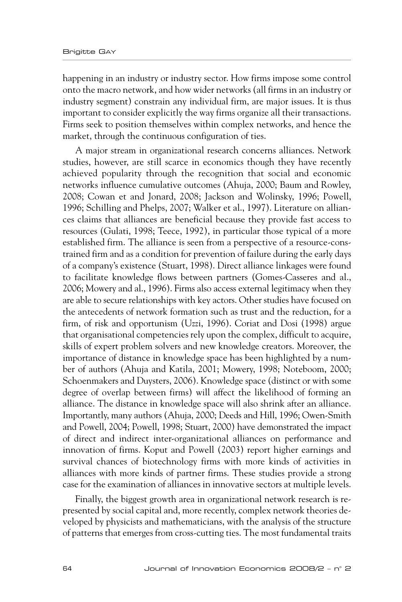happening in an industry or industry sector. How firms impose some control onto the macro network, and how wider networks (all firms in an industry or industry segment) constrain any individual firm, are major issues. It is thus important to consider explicitly the way firms organize all their transactions. Firms seek to position themselves within complex networks, and hence the market, through the continuous configuration of ties.

A major stream in organizational research concerns alliances. Network studies, however, are still scarce in economics though they have recently achieved popularity through the recognition that social and economic networks influence cumulative outcomes (Ahuja, 2000; Baum and Rowley, 2008; Cowan et and Jonard, 2008; Jackson and Wolinsky, 1996; Powell, 1996; Schilling and Phelps, 2007; Walker et al., 1997). Literature on alliances claims that alliances are beneficial because they provide fast access to resources (Gulati, 1998; Teece, 1992), in particular those typical of a more established firm. The alliance is seen from a perspective of a resource-constrained firm and as a condition for prevention of failure during the early days of a company's existence (Stuart, 1998). Direct alliance linkages were found to facilitate knowledge flows between partners (Gomes-Casseres and al., 2006; Mowery and al., 1996). Firms also access external legitimacy when they are able to secure relationships with key actors. Other studies have focused on the antecedents of network formation such as trust and the reduction, for a firm, of risk and opportunism (Uzzi, 1996). Coriat and Dosi (1998) argue that organisational competencies rely upon the complex, difficult to acquire, skills of expert problem solvers and new knowledge creators. Moreover, the importance of distance in knowledge space has been highlighted by a number of authors (Ahuja and Katila, 2001; Mowery, 1998; Noteboom, 2000; Schoenmakers and Duysters, 2006). Knowledge space (distinct or with some degree of overlap between firms) will affect the likelihood of forming an alliance. The distance in knowledge space will also shrink after an alliance. Importantly, many authors (Ahuja, 2000; Deeds and Hill, 1996; Owen-Smith and Powell, 2004; Powell, 1998; Stuart, 2000) have demonstrated the impact of direct and indirect inter-organizational alliances on performance and innovation of firms. Koput and Powell (2003) report higher earnings and survival chances of biotechnology firms with more kinds of activities in alliances with more kinds of partner firms. These studies provide a strong case for the examination of alliances in innovative sectors at multiple levels.

Finally, the biggest growth area in organizational network research is represented by social capital and, more recently, complex network theories developed by physicists and mathematicians, with the analysis of the structure of patterns that emerges from cross-cutting ties. The most fundamental traits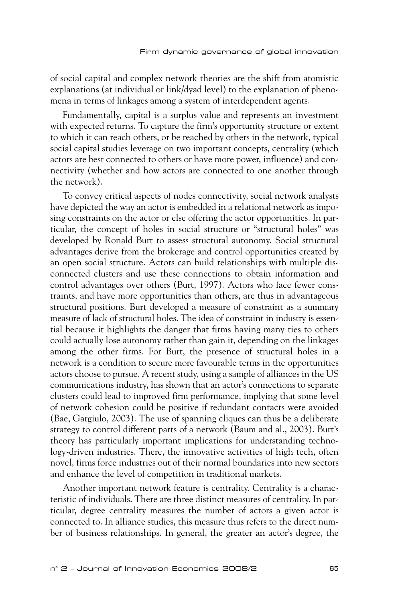of social capital and complex network theories are the shift from atomistic explanations (at individual or link/dyad level) to the explanation of phenomena in terms of linkages among a system of interdependent agents.

Fundamentally, capital is a surplus value and represents an investment with expected returns. To capture the firm's opportunity structure or extent to which it can reach others, or be reached by others in the network, typical social capital studies leverage on two important concepts, centrality (which actors are best connected to others or have more power, influence) and connectivity (whether and how actors are connected to one another through the network).

To convey critical aspects of nodes connectivity, social network analysts have depicted the way an actor is embedded in a relational network as imposing constraints on the actor or else offering the actor opportunities. In particular, the concept of holes in social structure or "structural holes" was developed by Ronald Burt to assess structural autonomy. Social structural advantages derive from the brokerage and control opportunities created by an open social structure. Actors can build relationships with multiple disconnected clusters and use these connections to obtain information and control advantages over others (Burt, 1997). Actors who face fewer constraints, and have more opportunities than others, are thus in advantageous structural positions. Burt developed a measure of constraint as a summary measure of lack of structural holes. The idea of constraint in industry is essential because it highlights the danger that firms having many ties to others could actually lose autonomy rather than gain it, depending on the linkages among the other firms. For Burt, the presence of structural holes in a network is a condition to secure more favourable terms in the opportunities actors choose to pursue. A recent study, using a sample of alliances in the US communications industry, has shown that an actor's connections to separate clusters could lead to improved firm performance, implying that some level of network cohesion could be positive if redundant contacts were avoided (Bae, Gargiulo, 2003). The use of spanning cliques can thus be a deliberate strategy to control different parts of a network (Baum and al., 2003). Burt's theory has particularly important implications for understanding technology-driven industries. There, the innovative activities of high tech, often novel, firms force industries out of their normal boundaries into new sectors and enhance the level of competition in traditional markets.

Another important network feature is centrality. Centrality is a characteristic of individuals. There are three distinct measures of centrality. In particular, degree centrality measures the number of actors a given actor is connected to. In alliance studies, this measure thus refers to the direct number of business relationships. In general, the greater an actor's degree, the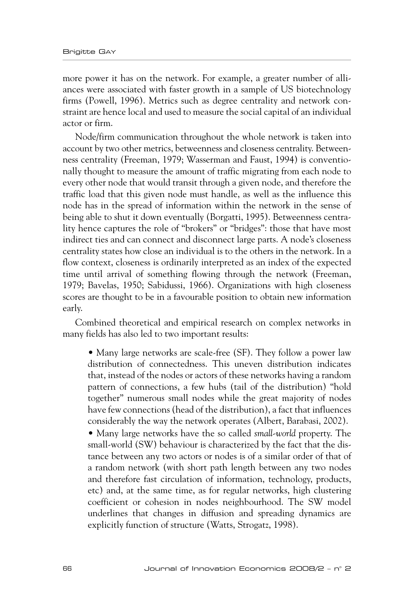more power it has on the network. For example, a greater number of alliances were associated with faster growth in a sample of US biotechnology firms (Powell, 1996). Metrics such as degree centrality and network constraint are hence local and used to measure the social capital of an individual actor or firm.

Node/firm communication throughout the whole network is taken into account by two other metrics, betweenness and closeness centrality. Betweenness centrality (Freeman, 1979; Wasserman and Faust, 1994) is conventionally thought to measure the amount of traffic migrating from each node to every other node that would transit through a given node, and therefore the traffic load that this given node must handle, as well as the influence this node has in the spread of information within the network in the sense of being able to shut it down eventually (Borgatti, 1995). Betweenness centrality hence captures the role of "brokers" or "bridges": those that have most indirect ties and can connect and disconnect large parts. A node's closeness centrality states how close an individual is to the others in the network. In a flow context, closeness is ordinarily interpreted as an index of the expected time until arrival of something flowing through the network (Freeman, 1979; Bavelas, 1950; Sabidussi, 1966). Organizations with high closeness scores are thought to be in a favourable position to obtain new information early.

Combined theoretical and empirical research on complex networks in many fields has also led to two important results:

• Many large networks are scale-free (SF). They follow a power law distribution of connectedness. This uneven distribution indicates that, instead of the nodes or actors of these networks having a random pattern of connections, a few hubs (tail of the distribution) "hold together" numerous small nodes while the great majority of nodes have few connections (head of the distribution), a fact that influences considerably the way the network operates (Albert, Barabasi, 2002).

• Many large networks have the so called *small-world* property. The small-world (SW) behaviour is characterized by the fact that the distance between any two actors or nodes is of a similar order of that of a random network (with short path length between any two nodes and therefore fast circulation of information, technology, products, etc) and, at the same time, as for regular networks, high clustering coefficient or cohesion in nodes neighbourhood. The SW model underlines that changes in diffusion and spreading dynamics are explicitly function of structure (Watts, Strogatz, 1998).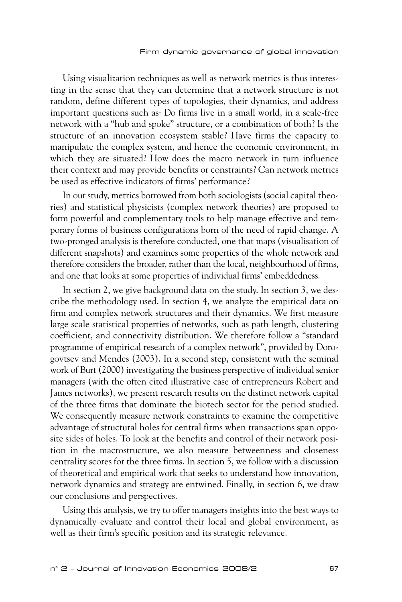Using visualization techniques as well as network metrics is thus interesting in the sense that they can determine that a network structure is not random, define different types of topologies, their dynamics, and address important questions such as: Do firms live in a small world, in a scale-free network with a "hub and spoke" structure, or a combination of both? Is the structure of an innovation ecosystem stable? Have firms the capacity to manipulate the complex system, and hence the economic environment, in which they are situated? How does the macro network in turn influence their context and may provide benefits or constraints? Can network metrics be used as effective indicators of firms' performance?

In our study, metrics borrowed from both sociologists (social capital theories) and statistical physicists (complex network theories) are proposed to form powerful and complementary tools to help manage effective and temporary forms of business configurations born of the need of rapid change. A two-pronged analysis is therefore conducted, one that maps (visualisation of different snapshots) and examines some properties of the whole network and therefore considers the broader, rather than the local, neighbourhood of firms, and one that looks at some properties of individual firms' embeddedness.

In section 2, we give background data on the study. In section 3, we describe the methodology used. In section 4, we analyze the empirical data on firm and complex network structures and their dynamics. We first measure large scale statistical properties of networks, such as path length, clustering coefficient, and connectivity distribution. We therefore follow a "standard programme of empirical research of a complex network", provided by Dorogovtsev and Mendes (2003). In a second step, consistent with the seminal work of Burt (2000) investigating the business perspective of individual senior managers (with the often cited illustrative case of entrepreneurs Robert and James networks), we present research results on the distinct network capital of the three firms that dominate the biotech sector for the period studied. We consequently measure network constraints to examine the competitive advantage of structural holes for central firms when transactions span opposite sides of holes. To look at the benefits and control of their network position in the macrostructure, we also measure betweenness and closeness centrality scores for the three firms. In section 5, we follow with a discussion of theoretical and empirical work that seeks to understand how innovation, network dynamics and strategy are entwined. Finally, in section 6, we draw our conclusions and perspectives.

Using this analysis, we try to offer managers insights into the best ways to dynamically evaluate and control their local and global environment, as well as their firm's specific position and its strategic relevance.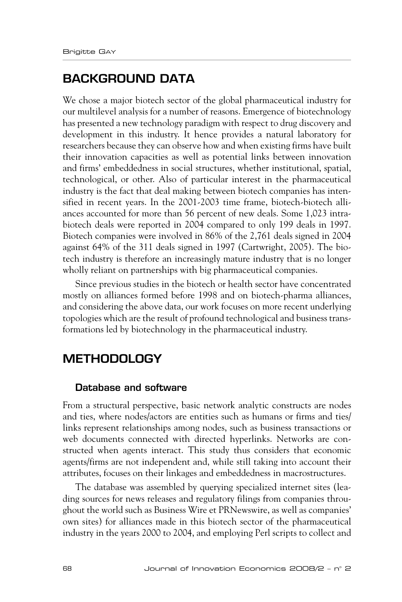## **BACKGROUND DATA**

We chose a major biotech sector of the global pharmaceutical industry for our multilevel analysis for a number of reasons. Emergence of biotechnology has presented a new technology paradigm with respect to drug discovery and development in this industry. It hence provides a natural laboratory for researchers because they can observe how and when existing firms have built their innovation capacities as well as potential links between innovation and firms' embeddedness in social structures, whether institutional, spatial, technological, or other. Also of particular interest in the pharmaceutical industry is the fact that deal making between biotech companies has intensified in recent years. In the 2001-2003 time frame, biotech-biotech alliances accounted for more than 56 percent of new deals. Some 1,023 intrabiotech deals were reported in 2004 compared to only 199 deals in 1997. Biotech companies were involved in 86% of the 2,761 deals signed in 2004 against 64% of the 311 deals signed in 1997 (Cartwright, 2005). The biotech industry is therefore an increasingly mature industry that is no longer wholly reliant on partnerships with big pharmaceutical companies.

Since previous studies in the biotech or health sector have concentrated mostly on alliances formed before 1998 and on biotech-pharma alliances, and considering the above data, our work focuses on more recent underlying topologies which are the result of profound technological and business transformations led by biotechnology in the pharmaceutical industry.

## **METHODOLOGY**

#### **Database and software**

From a structural perspective, basic network analytic constructs are nodes and ties, where nodes/actors are entities such as humans or firms and ties/ links represent relationships among nodes, such as business transactions or web documents connected with directed hyperlinks. Networks are constructed when agents interact. This study thus considers that economic agents/firms are not independent and, while still taking into account their attributes, focuses on their linkages and embeddedness in macrostructures.

The database was assembled by querying specialized internet sites (leading sources for news releases and regulatory filings from companies throughout the world such as Business Wire et PRNewswire, as well as companies' own sites) for alliances made in this biotech sector of the pharmaceutical industry in the years 2000 to 2004, and employing Perl scripts to collect and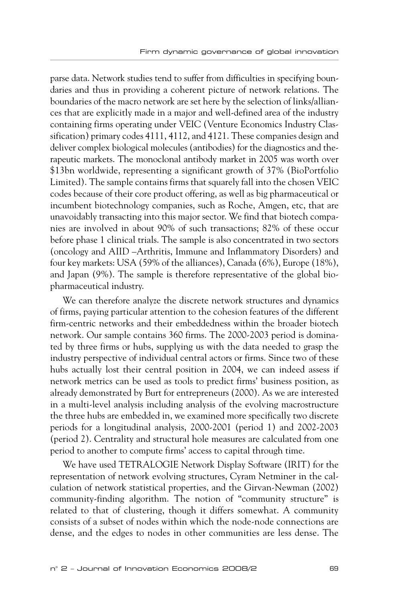parse data. Network studies tend to suffer from difficulties in specifying boundaries and thus in providing a coherent picture of network relations. The boundaries of the macro network are set here by the selection of links/alliances that are explicitly made in a major and well-defined area of the industry containing firms operating under VEIC (Venture Economics Industry Classification) primary codes 4111, 4112, and 4121. These companies design and deliver complex biological molecules (antibodies) for the diagnostics and therapeutic markets. The monoclonal antibody market in 2005 was worth over \$13bn worldwide, representing a significant growth of 37% (BioPortfolio Limited). The sample contains firms that squarely fall into the chosen VEIC codes because of their core product offering, as well as big pharmaceutical or incumbent biotechnology companies, such as Roche, Amgen, etc, that are unavoidably transacting into this major sector. We find that biotech companies are involved in about 90% of such transactions; 82% of these occur before phase 1 clinical trials. The sample is also concentrated in two sectors (oncology and AIID –Arthritis, Immune and Inflammatory Disorders) and four key markets: USA (59% of the alliances), Canada (6%), Europe (18%), and Japan (9%). The sample is therefore representative of the global biopharmaceutical industry.

We can therefore analyze the discrete network structures and dynamics of firms, paying particular attention to the cohesion features of the different firm-centric networks and their embeddedness within the broader biotech network. Our sample contains 360 firms. The 2000-2003 period is dominated by three firms or hubs, supplying us with the data needed to grasp the industry perspective of individual central actors or firms. Since two of these hubs actually lost their central position in 2004, we can indeed assess if network metrics can be used as tools to predict firms' business position, as already demonstrated by Burt for entrepreneurs (2000). As we are interested in a multi-level analysis including analysis of the evolving macrostructure the three hubs are embedded in, we examined more specifically two discrete periods for a longitudinal analysis, 2000-2001 (period 1) and 2002-2003 (period 2). Centrality and structural hole measures are calculated from one period to another to compute firms' access to capital through time.

We have used TETRALOGIE Network Display Software (IRIT) for the representation of network evolving structures, Cyram Netminer in the calculation of network statistical properties, and the Girvan-Newman (2002) community-finding algorithm. The notion of "community structure" is related to that of clustering, though it differs somewhat. A community consists of a subset of nodes within which the node-node connections are dense, and the edges to nodes in other communities are less dense. The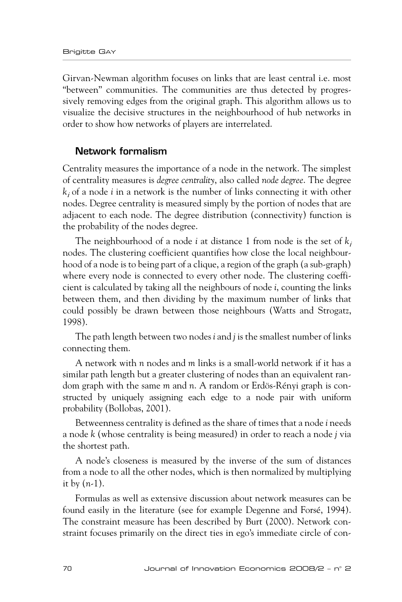Girvan-Newman algorithm focuses on links that are least central i.e. most "between" communities. The communities are thus detected by progressively removing edges from the original graph. This algorithm allows us to visualize the decisive structures in the neighbourhood of hub networks in order to show how networks of players are interrelated.

#### **Network formalism**

Centrality measures the importance of a node in the network. The simplest of centrality measures is *degree centrality*, also called *node degree*. The degree *k*i of a node *i* in a network is the number of links connecting it with other nodes. Degree centrality is measured simply by the portion of nodes that are adjacent to each node. The degree distribution (connectivity) function is the probability of the nodes degree.

The neighbourhood of a node *i* at distance 1 from node is the set of  $k_i$ nodes. The clustering coefficient quantifies how close the local neighbourhood of a node is to being part of a clique, a region of the graph (a sub-graph) where every node is connected to every other node. The clustering coefficient is calculated by taking all the neighbours of node *i*, counting the links between them, and then dividing by the maximum number of links that could possibly be drawn between those neighbours (Watts and Strogatz, 1998).

The path length between two nodes *i* and *j* is the smallest number of links connecting them.

A network with *n* nodes and *m* links is a small-world network if it has a similar path length but a greater clustering of nodes than an equivalent random graph with the same *m* and *n*. A random or Erdös-Rényi graph is constructed by uniquely assigning each edge to a node pair with uniform probability (Bollobas, 2001).

Betweenness centrality is defined as the share of times that a node *i* needs a node *k* (whose centrality is being measured) in order to reach a node *j* via the shortest path.

A node's closeness is measured by the inverse of the sum of distances from a node to all the other nodes, which is then normalized by multiplying it by (*n*-1).

Formulas as well as extensive discussion about network measures can be found easily in the literature (see for example Degenne and Forsé, 1994). The constraint measure has been described by Burt (2000). Network constraint focuses primarily on the direct ties in ego's immediate circle of con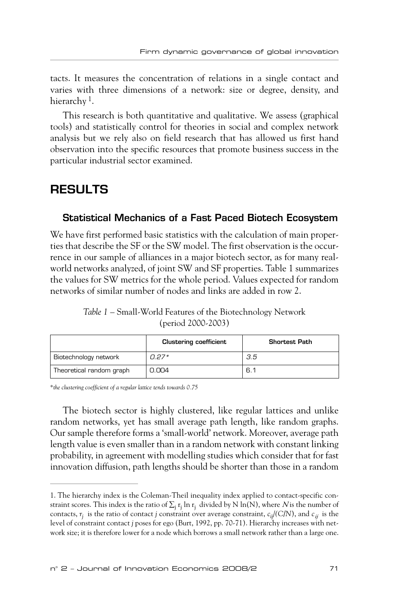tacts. It measures the concentration of relations in a single contact and varies with three dimensions of a network: size or degree, density, and hierarchy <sup>1</sup>.

This research is both quantitative and qualitative. We assess (graphical tools) and statistically control for theories in social and complex network analysis but we rely also on field research that has allowed us first hand observation into the specific resources that promote business success in the particular industrial sector examined.

## **RESULTS**

#### **Statistical Mechanics of a Fast Paced Biotech Ecosystem**

We have first performed basic statistics with the calculation of main properties that describe the SF or the SW model. The first observation is the occurrence in our sample of alliances in a major biotech sector, as for many realworld networks analyzed, of joint SW and SF properties. Table 1 summarizes the values for SW metrics for the whole period. Values expected for random networks of similar number of nodes and links are added in row 2.

*Table 1* – Small-World Features of the Biotechnology Network (period 2000-2003)

|                          | <b>Clustering coefficient</b> | Shortest Path |
|--------------------------|-------------------------------|---------------|
| Biotechnology network    | n 27*                         | 3.5           |
| Theoretical random graph | 0.004                         | 6.1           |

*\*the clustering coefficient of a regular lattice tends towards 0.75*

The biotech sector is highly clustered, like regular lattices and unlike random networks, yet has small average path length, like random graphs. Our sample therefore forms a 'small-world' network. Moreover, average path length value is even smaller than in a random network with constant linking probability, in agreement with modelling studies which consider that for fast innovation diffusion, path lengths should be shorter than those in a random

<sup>1.</sup> The hierarchy index is the Coleman-Theil inequality index applied to contact-specific constraint scores. This index is the ratio of  $\Sigma_{\rm j}$   ${\rm r}_{\rm j}$   $\ln {\rm r}_{\rm j}$  divided by N  $\ln({\rm N}),$  where  $N$ is the number of contacts,  $r_j$  is the ratio of contact  $j$  constraint over average constraint,  $c_{ij}/(C/N)$ , and  $c_{ij}$  is the level of constraint contact *j* poses for ego (Burt, 1992, pp. 70-71). Hierarchy increases with network size; it is therefore lower for a node which borrows a small network rather than a large one.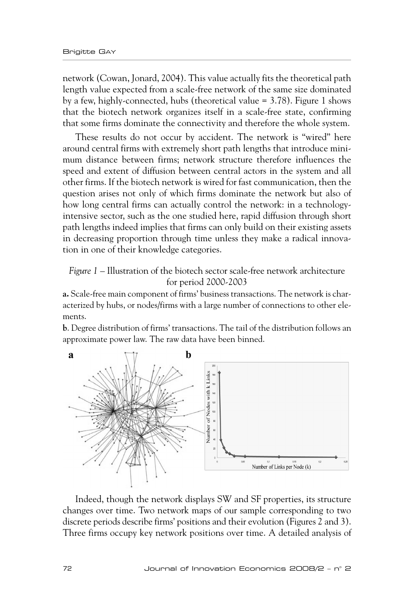network (Cowan, Jonard, 2004). This value actually fits the theoretical path length value expected from a scale-free network of the same size dominated by a few, highly-connected, hubs (theoretical value = 3.78). Figure 1 shows that the biotech network organizes itself in a scale-free state, confirming that some firms dominate the connectivity and therefore the whole system.

These results do not occur by accident. The network is "wired" here around central firms with extremely short path lengths that introduce minimum distance between firms; network structure therefore influences the speed and extent of diffusion between central actors in the system and all other firms. If the biotech network is wired for fast communication, then the question arises not only of which firms dominate the network but also of how long central firms can actually control the network: in a technologyintensive sector, such as the one studied here, rapid diffusion through short path lengths indeed implies that firms can only build on their existing assets in decreasing proportion through time unless they make a radical innovation in one of their knowledge categories.

*Figure 1* – Illustration of the biotech sector scale-free network architecture for period 2000-2003

**a.** Scale-free main component of firms' business transactions. The network is characterized by hubs, or nodes/firms with a large number of connections to other elements.

**b**. Degree distribution of firms' transactions. The tail of the distribution follows an approximate power law. The raw data have been binned.



Indeed, though the network displays SW and SF properties, its structure changes over time. Two network maps of our sample corresponding to two discrete periods describe firms' positions and their evolution (Figures 2 and 3). Three firms occupy key network positions over time. A detailed analysis of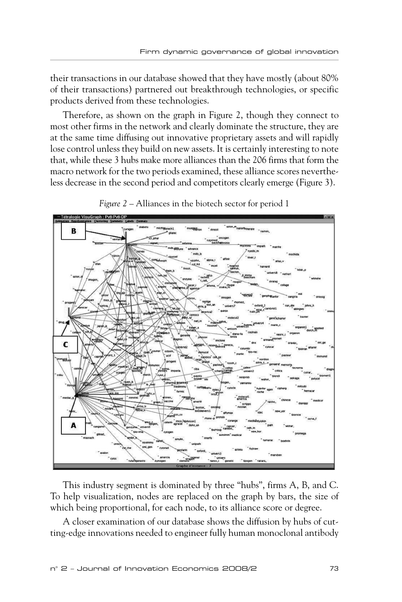their transactions in our database showed that they have mostly (about 80% of their transactions) partnered out breakthrough technologies, or specific products derived from these technologies.

Therefore, as shown on the graph in Figure 2, though they connect to most other firms in the network and clearly dominate the structure, they are at the same time diffusing out innovative proprietary assets and will rapidly lose control unless they build on new assets. It is certainly interesting to note that, while these 3 hubs make more alliances than the 206 firms that form the macro network for the two periods examined, these alliance scores nevertheless decrease in the second period and competitors clearly emerge (Figure 3).



*Figure 2* – Alliances in the biotech sector for period 1

This industry segment is dominated by three "hubs", firms A, B, and C. To help visualization, nodes are replaced on the graph by bars, the size of which being proportional, for each node, to its alliance score or degree.

A closer examination of our database shows the diffusion by hubs of cutting-edge innovations needed to engineer fully human monoclonal antibody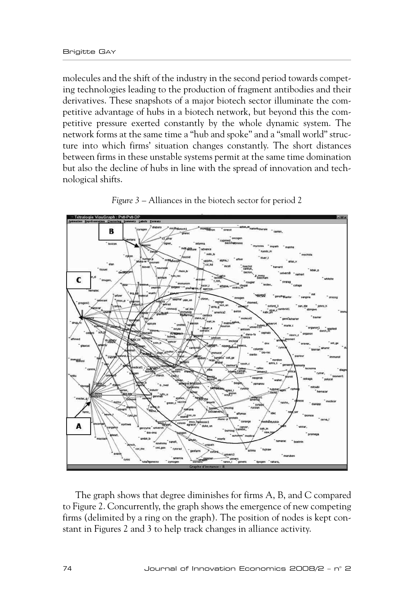molecules and the shift of the industry in the second period towards competing technologies leading to the production of fragment antibodies and their derivatives. These snapshots of a major biotech sector illuminate the competitive advantage of hubs in a biotech network, but beyond this the competitive pressure exerted constantly by the whole dynamic system. The network forms at the same time a "hub and spoke" and a "small world" structure into which firms' situation changes constantly. The short distances between firms in these unstable systems permit at the same time domination but also the decline of hubs in line with the spread of innovation and technological shifts.



*Figure 3* – Alliances in the biotech sector for period 2

The graph shows that degree diminishes for firms A, B, and C compared to Figure 2. Concurrently, the graph shows the emergence of new competing firms (delimited by a ring on the graph). The position of nodes is kept constant in Figures 2 and 3 to help track changes in alliance activity.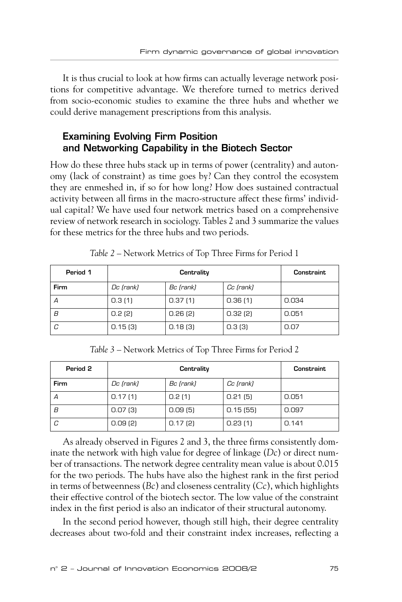It is thus crucial to look at how firms can actually leverage network positions for competitive advantage. We therefore turned to metrics derived from socio-economic studies to examine the three hubs and whether we could derive management prescriptions from this analysis.

#### **Examining Evolving Firm Position and Networking Capability in the Biotech Sector**

How do these three hubs stack up in terms of power (centrality) and autonomy (lack of constraint) as time goes by? Can they control the ecosystem they are enmeshed in, if so for how long? How does sustained contractual activity between all firms in the macro-structure affect these firms' individual capital? We have used four network metrics based on a comprehensive review of network research in sociology. Tables 2 and 3 summarize the values for these metrics for the three hubs and two periods.

| Period 1 | Centrality |           |           | Constraint |
|----------|------------|-----------|-----------|------------|
| Firm     | Dc (rank)  | Bc (rank) | Cc (rank) |            |
| Α        | 0.3(1)     | 0.37(1)   | 0.36(1)   | 0.034      |
| B        | 0.2(2)     | 0.26(2)   | 0.32(2)   | 0.051      |
| C        | 0.15(3)    | 0.18(3)   | 0.3(3)    | 0.07       |

*Table 2* – Network Metrics of Top Three Firms for Period 1

*Table 3* – Network Metrics of Top Three Firms for Period 2

| Period 2 | Centrality |           |           | Constraint |
|----------|------------|-----------|-----------|------------|
| Firm     | Dc (rank)  | Bc (rank) | Cc (rank) |            |
| Α        | 0.17(1)    | 0.2(1)    | 0.21(5)   | 0.051      |
| B        | 0.07(3)    | 0.09(5)   | 0.15(55)  | 0.097      |
| C        | 0.09(2)    | 0.17(2)   | 0.23(1)   | 0.141      |

As already observed in Figures 2 and 3, the three firms consistently dominate the network with high value for degree of linkage (*Dc*) or direct number of transactions. The network degree centrality mean value is about 0.015 for the two periods. The hubs have also the highest rank in the first period in terms of betweenness (*Bc*) and closeness centrality (*Cc*), which highlights their effective control of the biotech sector. The low value of the constraint index in the first period is also an indicator of their structural autonomy.

In the second period however, though still high, their degree centrality decreases about two-fold and their constraint index increases, reflecting a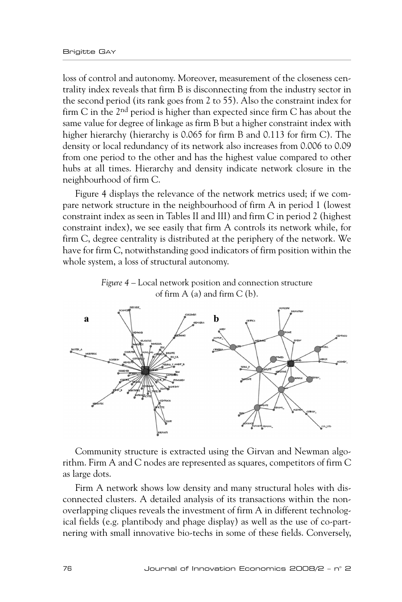loss of control and autonomy. Moreover, measurement of the closeness centrality index reveals that firm B is disconnecting from the industry sector in the second period (its rank goes from 2 to 55). Also the constraint index for firm C in the  $2<sup>nd</sup>$  period is higher than expected since firm C has about the same value for degree of linkage as firm B but a higher constraint index with higher hierarchy (hierarchy is 0.065 for firm B and 0.113 for firm C). The density or local redundancy of its network also increases from 0.006 to 0.09 from one period to the other and has the highest value compared to other hubs at all times. Hierarchy and density indicate network closure in the neighbourhood of firm C.

Figure 4 displays the relevance of the network metrics used; if we compare network structure in the neighbourhood of firm A in period 1 (lowest constraint index as seen in Tables II and III) and firm C in period 2 (highest constraint index), we see easily that firm A controls its network while, for firm C, degree centrality is distributed at the periphery of the network. We have for firm C, notwithstanding good indicators of firm position within the whole system, a loss of structural autonomy.

> *Figure 4* – Local network position and connection structure of firm  $A$  (a) and firm  $C$  (b).



Community structure is extracted using the Girvan and Newman algorithm. Firm A and C nodes are represented as squares, competitors of firm C as large dots.

Firm A network shows low density and many structural holes with disconnected clusters. A detailed analysis of its transactions within the nonoverlapping cliques reveals the investment of firm A in different technological fields (e.g. plantibody and phage display) as well as the use of co-partnering with small innovative bio-techs in some of these fields. Conversely,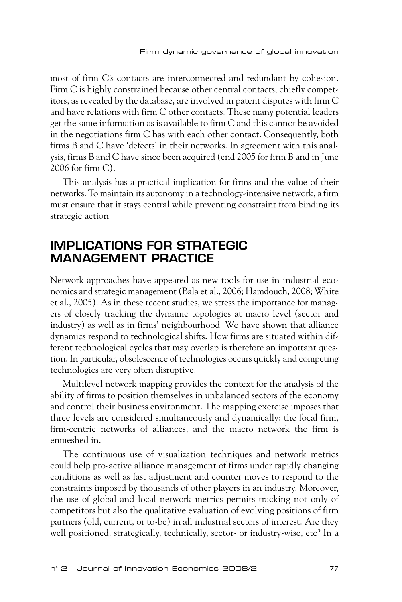most of firm C's contacts are interconnected and redundant by cohesion. Firm C is highly constrained because other central contacts, chiefly competitors, as revealed by the database, are involved in patent disputes with firm C and have relations with firm C other contacts. These many potential leaders get the same information as is available to firm C and this cannot be avoided in the negotiations firm C has with each other contact. Consequently, both firms B and C have 'defects' in their networks. In agreement with this analysis, firms B and C have since been acquired (end 2005 for firm B and in June 2006 for firm C).

This analysis has a practical implication for firms and the value of their networks. To maintain its autonomy in a technology-intensive network, a firm must ensure that it stays central while preventing constraint from binding its strategic action.

## **IMPLICATIONS FOR STRATEGIC MANAGEMENT PRACTICE**

Network approaches have appeared as new tools for use in industrial economics and strategic management (Bala et al., 2006; Hamdouch, 2008; White et al., 2005). As in these recent studies, we stress the importance for managers of closely tracking the dynamic topologies at macro level (sector and industry) as well as in firms' neighbourhood. We have shown that alliance dynamics respond to technological shifts. How firms are situated within different technological cycles that may overlap is therefore an important question. In particular, obsolescence of technologies occurs quickly and competing technologies are very often disruptive.

Multilevel network mapping provides the context for the analysis of the ability of firms to position themselves in unbalanced sectors of the economy and control their business environment. The mapping exercise imposes that three levels are considered simultaneously and dynamically: the focal firm, firm-centric networks of alliances, and the macro network the firm is enmeshed in.

The continuous use of visualization techniques and network metrics could help pro-active alliance management of firms under rapidly changing conditions as well as fast adjustment and counter moves to respond to the constraints imposed by thousands of other players in an industry. Moreover, the use of global and local network metrics permits tracking not only of competitors but also the qualitative evaluation of evolving positions of firm partners (old, current, or to-be) in all industrial sectors of interest. Are they well positioned, strategically, technically, sector- or industry-wise, etc? In a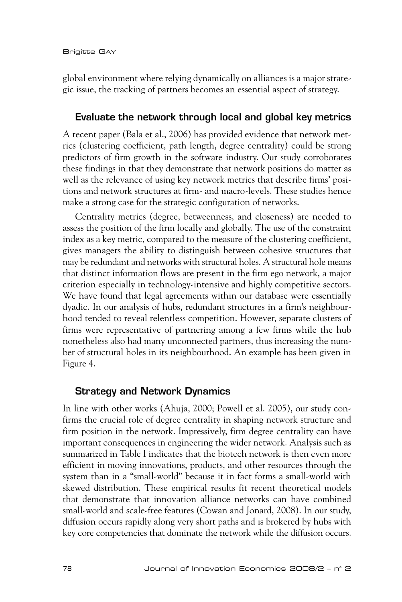global environment where relying dynamically on alliances is a major strategic issue, the tracking of partners becomes an essential aspect of strategy.

#### **Evaluate the network through local and global key metrics**

A recent paper (Bala et al., 2006) has provided evidence that network metrics (clustering coefficient, path length, degree centrality) could be strong predictors of firm growth in the software industry. Our study corroborates these findings in that they demonstrate that network positions do matter as well as the relevance of using key network metrics that describe firms' positions and network structures at firm- and macro-levels. These studies hence make a strong case for the strategic configuration of networks.

Centrality metrics (degree, betweenness, and closeness) are needed to assess the position of the firm locally and globally. The use of the constraint index as a key metric, compared to the measure of the clustering coefficient, gives managers the ability to distinguish between cohesive structures that may be redundant and networks with structural holes. A structural hole means that distinct information flows are present in the firm ego network, a major criterion especially in technology-intensive and highly competitive sectors. We have found that legal agreements within our database were essentially dyadic. In our analysis of hubs, redundant structures in a firm's neighbourhood tended to reveal relentless competition. However, separate clusters of firms were representative of partnering among a few firms while the hub nonetheless also had many unconnected partners, thus increasing the number of structural holes in its neighbourhood. An example has been given in Figure 4.

#### **Strategy and Network Dynamics**

In line with other works (Ahuja, 2000; Powell et al. 2005), our study confirms the crucial role of degree centrality in shaping network structure and firm position in the network. Impressively, firm degree centrality can have important consequences in engineering the wider network. Analysis such as summarized in Table I indicates that the biotech network is then even more efficient in moving innovations, products, and other resources through the system than in a "small-world" because it in fact forms a small-world with skewed distribution. These empirical results fit recent theoretical models that demonstrate that innovation alliance networks can have combined small-world and scale-free features (Cowan and Jonard, 2008). In our study, diffusion occurs rapidly along very short paths and is brokered by hubs with key core competencies that dominate the network while the diffusion occurs.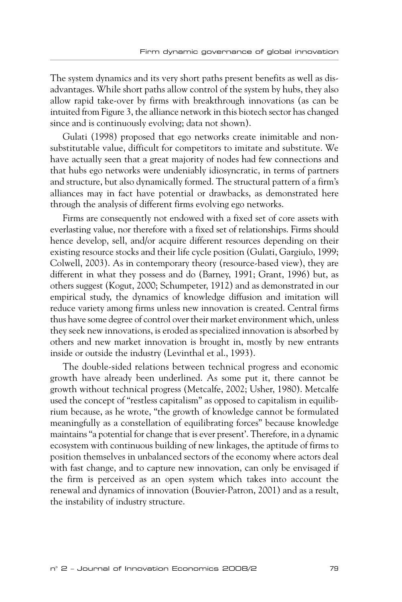The system dynamics and its very short paths present benefits as well as disadvantages. While short paths allow control of the system by hubs, they also allow rapid take-over by firms with breakthrough innovations (as can be intuited from Figure 3, the alliance network in this biotech sector has changed since and is continuously evolving; data not shown).

Gulati (1998) proposed that ego networks create inimitable and nonsubstitutable value, difficult for competitors to imitate and substitute. We have actually seen that a great majority of nodes had few connections and that hubs ego networks were undeniably idiosyncratic, in terms of partners and structure, but also dynamically formed. The structural pattern of a firm's alliances may in fact have potential or drawbacks, as demonstrated here through the analysis of different firms evolving ego networks.

Firms are consequently not endowed with a fixed set of core assets with everlasting value, nor therefore with a fixed set of relationships. Firms should hence develop, sell, and/or acquire different resources depending on their existing resource stocks and their life cycle position (Gulati, Gargiulo, 1999; Colwell, 2003). As in contemporary theory (resource-based view), they are different in what they possess and do (Barney, 1991; Grant, 1996) but, as others suggest (Kogut, 2000; Schumpeter, 1912) and as demonstrated in our empirical study, the dynamics of knowledge diffusion and imitation will reduce variety among firms unless new innovation is created. Central firms thus have some degree of control over their market environment which, unless they seek new innovations, is eroded as specialized innovation is absorbed by others and new market innovation is brought in, mostly by new entrants inside or outside the industry (Levinthal et al., 1993).

The double-sided relations between technical progress and economic growth have already been underlined. As some put it, there cannot be growth without technical progress (Metcalfe, 2002; Usher, 1980). Metcalfe used the concept of "restless capitalism" as opposed to capitalism in equilibrium because, as he wrote, "the growth of knowledge cannot be formulated meaningfully as a constellation of equilibrating forces" because knowledge maintains "a potential for change that is ever present'. Therefore, in a dynamic ecosystem with continuous building of new linkages, the aptitude of firms to position themselves in unbalanced sectors of the economy where actors deal with fast change, and to capture new innovation, can only be envisaged if the firm is perceived as an open system which takes into account the renewal and dynamics of innovation (Bouvier-Patron, 2001) and as a result, the instability of industry structure.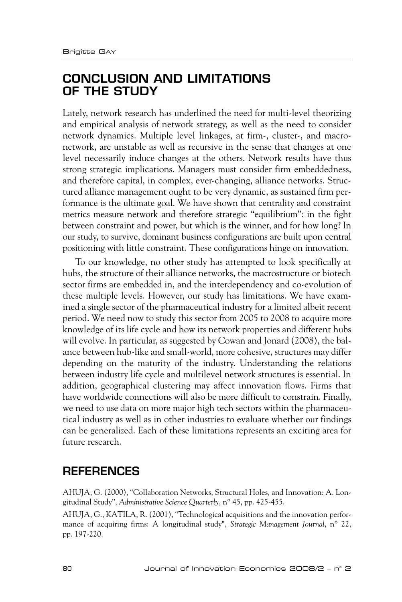## **CONCLUSION AND LIMITATIONS OF THE STUDY**

Lately, network research has underlined the need for multi-level theorizing and empirical analysis of network strategy, as well as the need to consider network dynamics. Multiple level linkages, at firm-, cluster-, and macronetwork, are unstable as well as recursive in the sense that changes at one level necessarily induce changes at the others. Network results have thus strong strategic implications. Managers must consider firm embeddedness, and therefore capital, in complex, ever-changing, alliance networks. Structured alliance management ought to be very dynamic, as sustained firm performance is the ultimate goal. We have shown that centrality and constraint metrics measure network and therefore strategic "equilibrium": in the fight between constraint and power, but which is the winner, and for how long? In our study, to survive, dominant business configurations are built upon central positioning with little constraint. These configurations hinge on innovation.

To our knowledge, no other study has attempted to look specifically at hubs, the structure of their alliance networks, the macrostructure or biotech sector firms are embedded in, and the interdependency and co-evolution of these multiple levels. However, our study has limitations. We have examined a single sector of the pharmaceutical industry for a limited albeit recent period. We need now to study this sector from 2005 to 2008 to acquire more knowledge of its life cycle and how its network properties and different hubs will evolve. In particular, as suggested by Cowan and Jonard (2008), the balance between hub-like and small-world, more cohesive, structures may differ depending on the maturity of the industry. Understanding the relations between industry life cycle and multilevel network structures is essential. In addition, geographical clustering may affect innovation flows. Firms that have worldwide connections will also be more difficult to constrain. Finally, we need to use data on more major high tech sectors within the pharmaceutical industry as well as in other industries to evaluate whether our findings can be generalized. Each of these limitations represents an exciting area for future research.

## **REFERENCES**

AHUJA, G. (2000), "Collaboration Networks, Structural Holes, and Innovation: A. Longitudinal Study", *Administrative Science Quarterly*, n° 45, pp. 425-455.

AHUJA, G., KATILA, R. (2001), "Technological acquisitions and the innovation performance of acquiring firms: A longitudinal study", *Strategic Management Journal*, n° 22, pp. 197-220.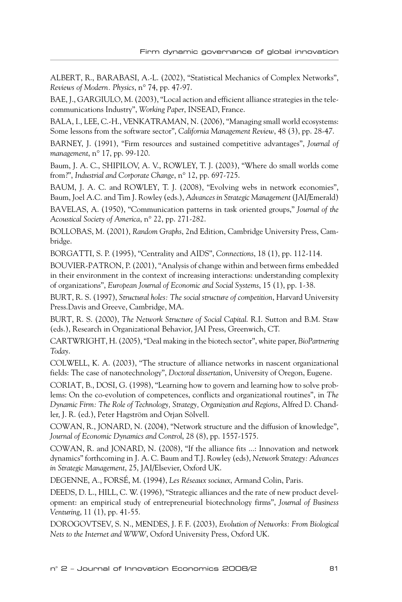ALBERT, R., BARABASI, A.-L. (2002), "Statistical Mechanics of Complex Networks", *Reviews of Modern. Physics*, n° 74, pp. 47-97.

BAE, J., GARGIULO, M. (2003), "Local action and efficient alliance strategies in the telecommunications Industry", *Working Paper*, INSEAD, France.

BALA, I., LEE, C.-H., VENKATRAMAN, N. (2006), "Managing small world ecosystems: Some lessons from the software sector", *California Management Review*, 48 (3), pp. 28-4*7*.

BARNEY, J. (1991), "Firm resources and sustained competitive advantages", *Journal of management*, n° 17, pp. 99-120.

Baum, J. A. C., SHIPILOV, A. V., ROWLEY, T. J. (2003), "Where do small worlds come from?", *Industrial and Corporate Change*, n° 12, pp. 697-725.

BAUM, J. A. C. and ROWLEY, T. J. (2008), "Evolving webs in network economies", Baum, Joel A.C. and Tim J. Rowley (eds.), *Advances in Strategic Management* (JAI/Emerald)

BAVELAS, A. (1950), "Communication patterns in task oriented groups," *Journal of the Acoustical Society of America*, n° 22, pp. 271-282.

BOLLOBAS, M. (2001), *Random Graphs*, 2nd Edition, Cambridge University Press, Cambridge.

BORGATTI, S. P. (1995), "Centrality and AIDS", *Connections*, 18 (1), pp. 112-114.

BOUVIER-PATRON, P. (2001), "Analysis of change within and between firms embedded in their environment in the context of increasing interactions: understanding complexity of organizations", *European Journal of Economic and Social Systems*, 15 (1), pp. 1-38.

BURT, R. S. (1997), *Structural holes: The social structure of competition*, Harvard University Press.Davis and Greeve, Cambridge, MA.

BURT, R. S. (2000), *The Network Structure of Social Capital*. R.I. Sutton and B.M. Staw (eds.), Research in Organizational Behavior, JAI Press, Greenwich, CT.

CARTWRIGHT, H. (2005), "Deal making in the biotech sector", white paper, *BioPartnering Today*.

COLWELL, K. A. (2003), "The structure of alliance networks in nascent organizational fields: The case of nanotechnology", *Doctoral dissertation*, University of Oregon, Eugene.

CORIAT, B., DOSI, G. (1998), "Learning how to govern and learning how to solve problems: On the co-evolution of competences, conflicts and organizational routines", in *The Dynamic Firm: The Role of Technology, Strategy, Organization and Regions*, Alfred D. Chandler, J. R. (ed.), Peter Hagström and Orjan Sölvell.

COWAN, R., JONARD, N. (2004), "Network structure and the diffusion of knowledge", *Journal of Economic Dynamics and Control*, 28 (8), pp. 1557-1575.

COWAN, R. and JONARD, N. (2008), "If the alliance fits ...: Innovation and network dynamics" forthcoming in J. A. C. Baum and T.J. Rowley (eds), *Network Strategy: Advances in Strategic Management*, 25, JAI/Elsevier, Oxford UK.

DEGENNE, A., FORSÉ, M. (1994), *Les Réseaux sociaux*, Armand Colin, Paris.

DEEDS, D. L., HILL, C. W. (1996), "Strategic alliances and the rate of new product development: an empirical study of entrepreneurial biotechnology firms", *Journal of Business Venturing*, 11 (1), pp. 41-55.

DOROGOVTSEV, S. N., MENDES, J. F. F. (2003), *Evolution of Networks: From Biological Nets to the Internet and WWW*, Oxford University Press, Oxford UK.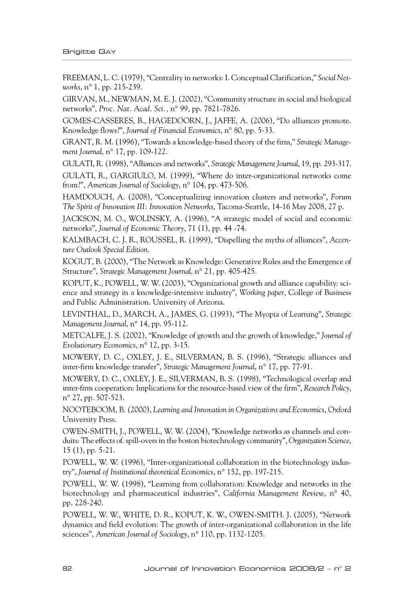FREEMAN, L. C. (1979), "Centrality in networks: I. Conceptual Clarification," *Social Networks*, n° 1, pp. 215-239.

GIRVAN, M., NEWMAN, M. E. J. (2002), "Community structure in social and biological networks", *Proc. Nat. Acad. Sci.,* n° 99, pp. 7821-7826.

GOMES-CASSERES, B., HAGEDOORN, J., JAFFE, A. (2006), "Do alliances promote. Knowledge flows?", *Journal of Financial Economics*, n° 80, pp. 5-33.

GRANT, R. M. (1996), "Towards a knowledge-based theory of the firm," *Strategic Management Journal*, n° 17, pp. 109-122.

GULATI, R. (1998), "Alliances and networks", *Strategic Management Journal*, 19, pp. 293-317.

GULATI, R., GARGIULO, M. (1999), "Where do inter-organizational networks come from?", *American Journal of Sociology*, n° 104, pp. 473-506.

HAMDOUCH, A. (2008), "Conceptualizing innovation clusters and networks", *Forum The Spirit of Innovation III: Innovation Networks*, Tacoma-Seattle, 14-16 May 2008, 27 p.

JACKSON, M. O., WOLINSKY, A. (1996), "A strategic model of social and economic networks", *Journal of Economic Theory*, 71 (1), pp. 44 -74.

KALMBACH, C. J. R., ROUSSEL, R. (1999), "Dispelling the myths of alliances", *Accenture Outlook Special Edition*.

KOGUT, B. (2000), "The Network as Knowledge: Generative Rules and the Emergence of Structure", *Strategic Management Journal*, n° 21, pp. 405-425.

KOPUT, K., POWELL, W. W. (2003), "Organizational growth and alliance capability: science and strategy in a knowledge-intensive industry", *Working paper*, College of Business and Public Administration. University of Arizona.

LEVINTHAL, D., MARCH, A., JAMES, G. (1993), "The Myopia of Learning", *Strategic Management Journal*, n° 14, pp. 95-112.

METCALFE, J. S. (2002), "Knowledge of growth and the growth of knowledge," *Journal of Evolutionary Economics*, n° 12, pp. 3-15.

MOWERY, D. C., OXLEY, J. E., SILVERMAN, B. S. (1996), "Strategic alliances and inter-firm knowledge transfer", *Strategic Management Journal*, n° 17, pp. 77-91.

MOWERY, D. C., OXLEY, J. E., SILVERMAN, B. S. (1998), "Technological overlap and inter-firm cooperation: Implications for the resource-based view of the firm", *Research Policy*, n° 27, pp. 507-523.

NOOTEBOOM, B. (2000), *Learning and Innovation in Organizations and Economics*, Oxford University Press.

OWEN-SMITH, J., POWELL, W. W. (2004), "Knowledge networks as channels and conduits: The effects of. spill-overs in the boston biotechnology community", *Organization Science*, 15 (1), pp. 5-21.

POWELL, W. W. (1996), "Inter-organizational collaboration in the biotechnology industry", *Journal of Institutional theoretical Economics*, n° 152, pp. 197-215.

POWELL, W. W. (1998), "Learning from collaboration: Knowledge and networks in the biotechnology and pharmaceutical industries", *California Management Review*, n° 40, pp. 228-240.

POWELL, W. W., WHITE, D. R., KOPUT, K. W., OWEN-SMITH. J. (2005), "Network dynamics and field evolution: The growth of inter-organizational collaboration in the life sciences", *American Journal of Sociology*, n° 110, pp. 1132-1205.